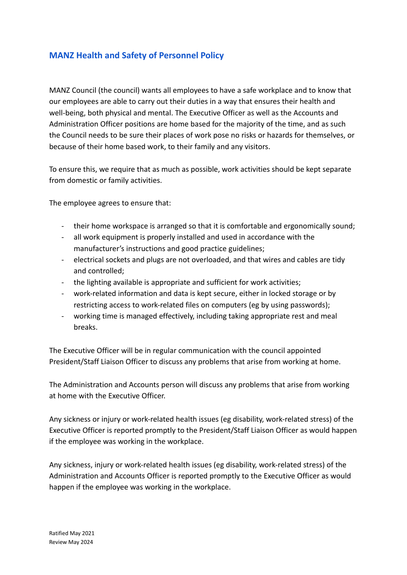## **MANZ Health and Safety of Personnel Policy**

MANZ Council (the council) wants all employees to have a safe workplace and to know that our employees are able to carry out their duties in a way that ensures their health and well-being, both physical and mental. The Executive Officer as well as the Accounts and Administration Officer positions are home based for the majority of the time, and as such the Council needs to be sure their places of work pose no risks or hazards for themselves, or because of their home based work, to their family and any visitors.

To ensure this, we require that as much as possible, work activities should be kept separate from domestic or family activities.

The employee agrees to ensure that:

- their home workspace is arranged so that it is comfortable and ergonomically sound;
- all work equipment is properly installed and used in accordance with the manufacturer's instructions and good practice guidelines;
- electrical sockets and plugs are not overloaded, and that wires and cables are tidy and controlled;
- the lighting available is appropriate and sufficient for work activities;
- work-related information and data is kept secure, either in locked storage or by restricting access to work-related files on computers (eg by using passwords);
- working time is managed effectively, including taking appropriate rest and meal breaks.

The Executive Officer will be in regular communication with the council appointed President/Staff Liaison Officer to discuss any problems that arise from working at home.

The Administration and Accounts person will discuss any problems that arise from working at home with the Executive Officer.

Any sickness or injury or work-related health issues (eg disability, work-related stress) of the Executive Officer is reported promptly to the President/Staff Liaison Officer as would happen if the employee was working in the workplace.

Any sickness, injury or work-related health issues (eg disability, work-related stress) of the Administration and Accounts Officer is reported promptly to the Executive Officer as would happen if the employee was working in the workplace.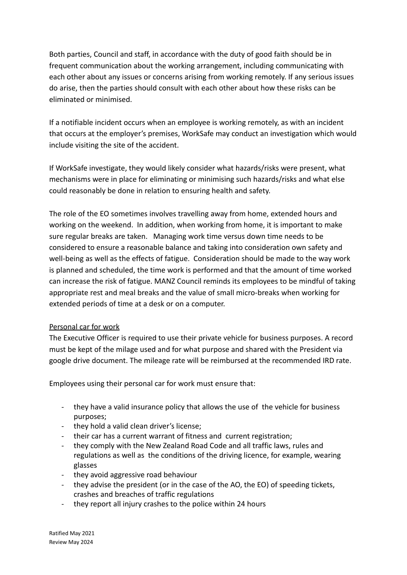Both parties, Council and staff, in accordance with the duty of good faith should be in frequent communication about the working arrangement, including communicating with each other about any issues or concerns arising from working remotely. If any serious issues do arise, then the parties should consult with each other about how these risks can be eliminated or minimised.

If a notifiable incident occurs when an employee is working remotely, as with an incident that occurs at the employer's premises, WorkSafe may conduct an investigation which would include visiting the site of the accident.

If WorkSafe investigate, they would likely consider what hazards/risks were present, what mechanisms were in place for eliminating or minimising such hazards/risks and what else could reasonably be done in relation to ensuring health and safety.

The role of the EO sometimes involves travelling away from home, extended hours and working on the weekend. In addition, when working from home, it is important to make sure regular breaks are taken. Managing work time versus down time needs to be considered to ensure a reasonable balance and taking into consideration own safety and well-being as well as the effects of fatigue. Consideration should be made to the way work is planned and scheduled, the time work is performed and that the amount of time worked can increase the risk of fatigue. MANZ Council reminds its employees to be mindful of taking appropriate rest and meal breaks and the value of small micro-breaks when working for extended periods of time at a desk or on a computer.

## Personal car for work

The Executive Officer is required to use their private vehicle for business purposes. A record must be kept of the milage used and for what purpose and shared with the President via google drive document. The mileage rate will be reimbursed at the recommended IRD rate.

Employees using their personal car for work must ensure that:

- they have a valid insurance policy that allows the use of the vehicle for business purposes;
- they hold a valid clean driver's license;
- their car has a current warrant of fitness and current registration;
- they comply with the New Zealand Road Code and all traffic laws, rules and regulations as well as the conditions of the driving licence, for example, wearing glasses
- they avoid aggressive road behaviour
- they advise the president (or in the case of the AO, the EO) of speeding tickets, crashes and breaches of traffic regulations
- they report all injury crashes to the police within 24 hours